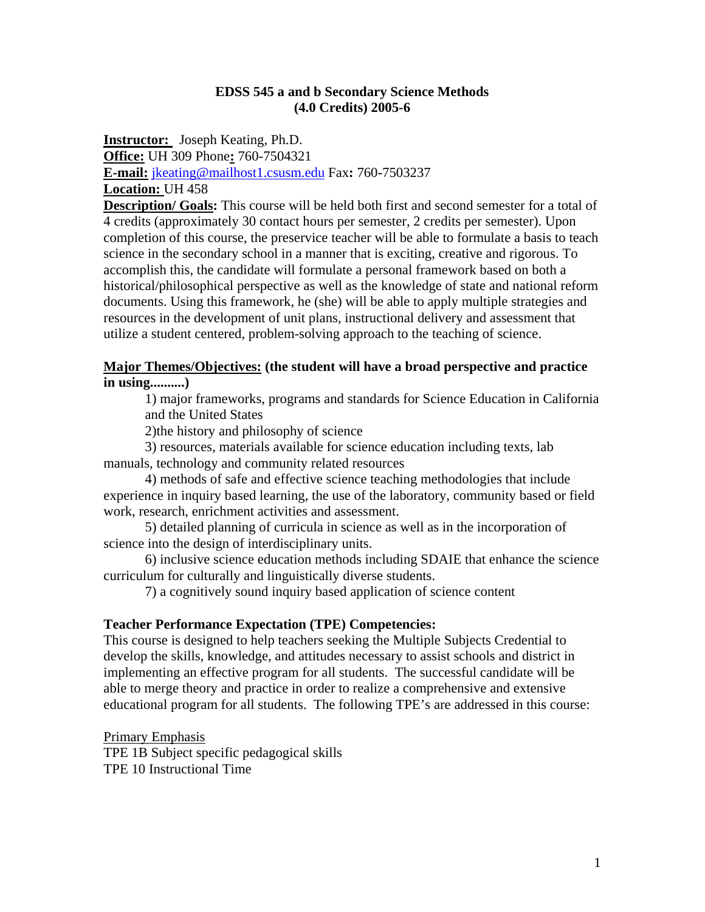#### **EDSS 545 a and b Secondary Science Methods (4.0 Credits) 2005-6**

**Instructor:** Joseph Keating, Ph.D. **Office:** UH 309 Phone**:** 760-7504321 **E-mail:** jkeating@mailhost1.csusm.edu Fax**:** 760**-**7503237 **Location:** UH 458

**Description/ Goals:** This course will be held both first and second semester for a total of 4 credits (approximately 30 contact hours per semester, 2 credits per semester). Upon completion of this course, the preservice teacher will be able to formulate a basis to teach science in the secondary school in a manner that is exciting, creative and rigorous. To accomplish this, the candidate will formulate a personal framework based on both a historical/philosophical perspective as well as the knowledge of state and national reform documents. Using this framework, he (she) will be able to apply multiple strategies and resources in the development of unit plans, instructional delivery and assessment that utilize a student centered, problem-solving approach to the teaching of science.

#### **Major Themes/Objectives: (the student will have a broad perspective and practice in using..........)**

1) major frameworks, programs and standards for Science Education in California and the United States

2)the history and philosophy of science

 3) resources, materials available for science education including texts, lab manuals, technology and community related resources

 4) methods of safe and effective science teaching methodologies that include experience in inquiry based learning, the use of the laboratory, community based or field work, research, enrichment activities and assessment.

 5) detailed planning of curricula in science as well as in the incorporation of science into the design of interdisciplinary units.

 6) inclusive science education methods including SDAIE that enhance the science curriculum for culturally and linguistically diverse students.

7) a cognitively sound inquiry based application of science content

#### **Teacher Performance Expectation (TPE) Competencies:**

This course is designed to help teachers seeking the Multiple Subjects Credential to develop the skills, knowledge, and attitudes necessary to assist schools and district in implementing an effective program for all students. The successful candidate will be able to merge theory and practice in order to realize a comprehensive and extensive educational program for all students. The following TPE's are addressed in this course:

Primary Emphasis

TPE 1B Subject specific pedagogical skills TPE 10 Instructional Time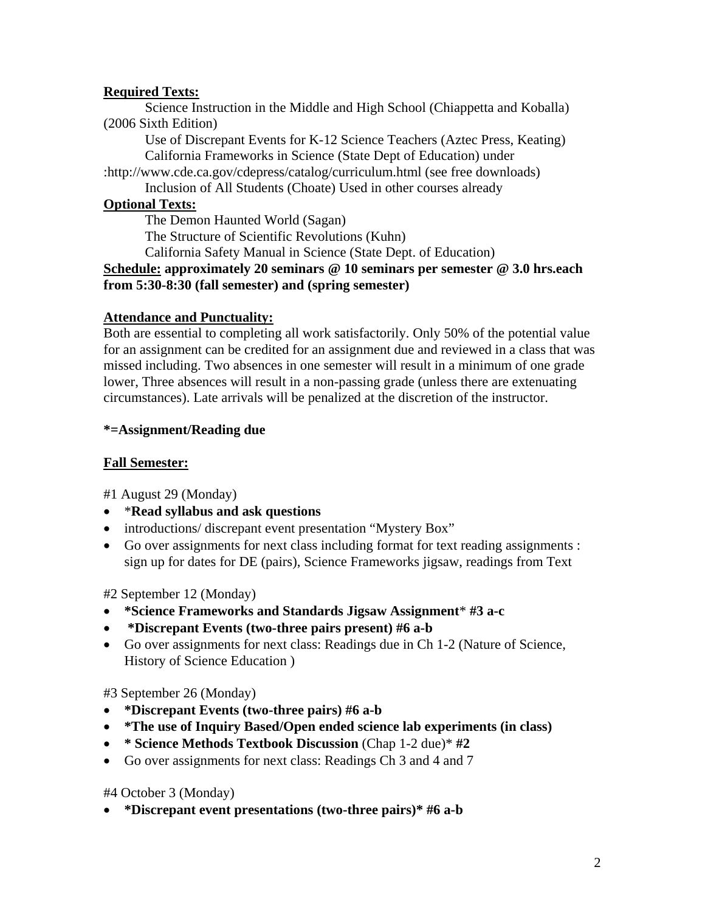## **Required Texts:**

Science Instruction in the Middle and High School (Chiappetta and Koballa) (2006 Sixth Edition)

Use of Discrepant Events for K-12 Science Teachers (Aztec Press, Keating) California Frameworks in Science (State Dept of Education) under :http://www.cde.ca.gov/cdepress/catalog/curriculum.html (see free downloads)

Inclusion of All Students (Choate) Used in other courses already

# **Optional Texts:**

The Demon Haunted World (Sagan)

The Structure of Scientific Revolutions (Kuhn)

California Safety Manual in Science (State Dept. of Education)

#### **Schedule: approximately 20 seminars @ 10 seminars per semester @ 3.0 hrs.each from 5:30-8:30 (fall semester) and (spring semester)**

## **Attendance and Punctuality:**

Both are essential to completing all work satisfactorily. Only 50% of the potential value for an assignment can be credited for an assignment due and reviewed in a class that was missed including. Two absences in one semester will result in a minimum of one grade lower, Three absences will result in a non-passing grade (unless there are extenuating circumstances). Late arrivals will be penalized at the discretion of the instructor.

## **\*=Assignment/Reading due**

# **Fall Semester:**

#1 August 29 (Monday)

- \***Read syllabus and ask questions**
- introductions/ discrepant event presentation "Mystery Box"
- Go over assignments for next class including format for text reading assignments : sign up for dates for DE (pairs), Science Frameworks jigsaw, readings from Text

#2 September 12 (Monday)

- **\*Science Frameworks and Standards Jigsaw Assignment**\* **#3 a-c**
- • **\*Discrepant Events (two-three pairs present) #6 a-b**
- Go over assignments for next class: Readings due in Ch 1-2 (Nature of Science, History of Science Education )

## #3 September 26 (Monday)

- **\*Discrepant Events (two-three pairs) #6 a-b**
- **\*The use of Inquiry Based/Open ended science lab experiments (in class)**
- **\* Science Methods Textbook Discussion** (Chap 1-2 due)\* **#2**
- Go over assignments for next class: Readings Ch 3 and 4 and 7

#4 October 3 (Monday)

• **\*Discrepant event presentations (two-three pairs)\* #6 a-b**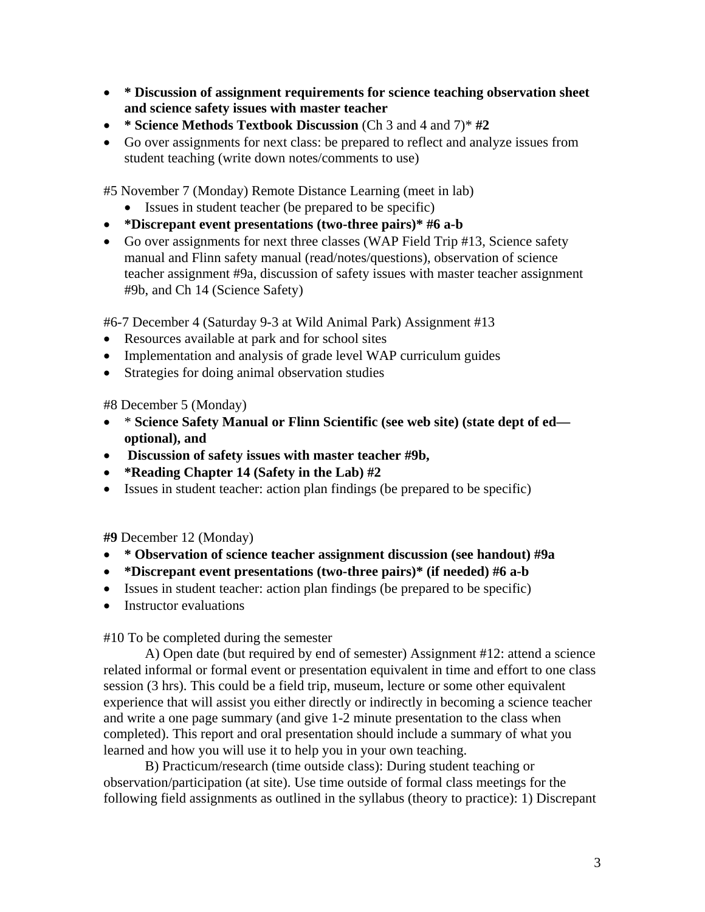- **\* Discussion of assignment requirements for science teaching observation sheet and science safety issues with master teacher**
- **\* Science Methods Textbook Discussion** (Ch 3 and 4 and 7)\* **#2**
- Go over assignments for next class: be prepared to reflect and analyze issues from student teaching (write down notes/comments to use)

#5 November 7 (Monday) Remote Distance Learning (meet in lab)

- Issues in student teacher (be prepared to be specific)
- **\*Discrepant event presentations (two-three pairs)\* #6 a-b**
- Go over assignments for next three classes (WAP Field Trip #13, Science safety manual and Flinn safety manual (read/notes/questions), observation of science teacher assignment #9a, discussion of safety issues with master teacher assignment #9b, and Ch 14 (Science Safety)

#6-7 December 4 (Saturday 9-3 at Wild Animal Park) Assignment #13

- Resources available at park and for school sites
- Implementation and analysis of grade level WAP curriculum guides
- Strategies for doing animal observation studies

#8 December 5 (Monday)

- \* **Science Safety Manual or Flinn Scientific (see web site) (state dept of ed optional), and**
- • **Discussion of safety issues with master teacher #9b,**
- **\*Reading Chapter 14 (Safety in the Lab) #2**
- Issues in student teacher: action plan findings (be prepared to be specific)

**#9** December 12 (Monday)

- **\* Observation of science teacher assignment discussion (see handout) #9a**
- **\*Discrepant event presentations (two-three pairs)\* (if needed) #6 a-b**
- Issues in student teacher: action plan findings (be prepared to be specific)
- Instructor evaluations

#10 To be completed during the semester

A) Open date (but required by end of semester) Assignment #12: attend a science related informal or formal event or presentation equivalent in time and effort to one class session (3 hrs). This could be a field trip, museum, lecture or some other equivalent experience that will assist you either directly or indirectly in becoming a science teacher and write a one page summary (and give 1-2 minute presentation to the class when completed). This report and oral presentation should include a summary of what you learned and how you will use it to help you in your own teaching.

B) Practicum/research (time outside class): During student teaching or observation/participation (at site). Use time outside of formal class meetings for the following field assignments as outlined in the syllabus (theory to practice): 1) Discrepant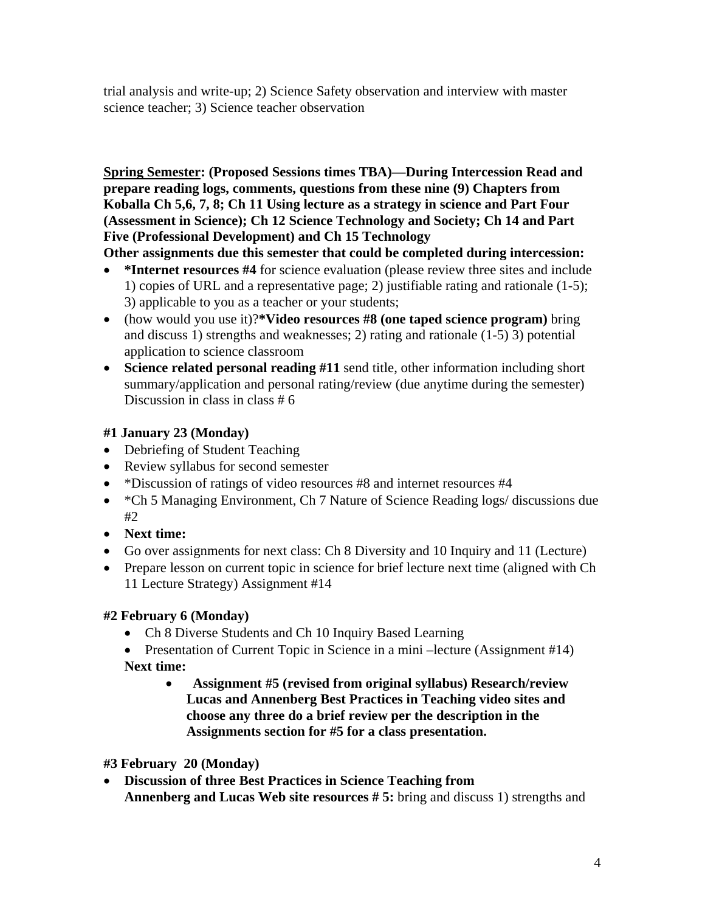trial analysis and write-up; 2) Science Safety observation and interview with master science teacher; 3) Science teacher observation

**Spring Semester: (Proposed Sessions times TBA)—During Intercession Read and prepare reading logs, comments, questions from these nine (9) Chapters from Koballa Ch 5,6, 7, 8; Ch 11 Using lecture as a strategy in science and Part Four (Assessment in Science); Ch 12 Science Technology and Society; Ch 14 and Part Five (Professional Development) and Ch 15 Technology** 

**Other assignments due this semester that could be completed during intercession:** 

- **\*Internet resources #4** for science evaluation (please review three sites and include 1) copies of URL and a representative page; 2) justifiable rating and rationale (1-5); 3) applicable to you as a teacher or your students;
- (how would you use it)?**\*Video resources #8 (one taped science program)** bring and discuss 1) strengths and weaknesses; 2) rating and rationale (1-5) 3) potential application to science classroom
- **Science related personal reading #11** send title, other information including short summary/application and personal rating/review (due anytime during the semester) Discussion in class in class # 6

# **#1 January 23 (Monday)**

- Debriefing of Student Teaching
- Review syllabus for second semester
- \*Discussion of ratings of video resources #8 and internet resources #4
- \*Ch 5 Managing Environment, Ch 7 Nature of Science Reading logs/ discussions due #2
- **Next time:**
- Go over assignments for next class: Ch 8 Diversity and 10 Inquiry and 11 (Lecture)
- Prepare lesson on current topic in science for brief lecture next time (aligned with Ch 11 Lecture Strategy) Assignment #14

# **#2 February 6 (Monday)**

- Ch 8 Diverse Students and Ch 10 Inquiry Based Learning
- Presentation of Current Topic in Science in a mini-lecture (Assignment #14) **Next time:** 
	- **Assignment #5 (revised from original syllabus) Research/review Lucas and Annenberg Best Practices in Teaching video sites and choose any three do a brief review per the description in the Assignments section for #5 for a class presentation.**

**#3 February 20 (Monday)** 

• **Discussion of three Best Practices in Science Teaching from Annenberg and Lucas Web site resources # 5:** bring and discuss 1) strengths and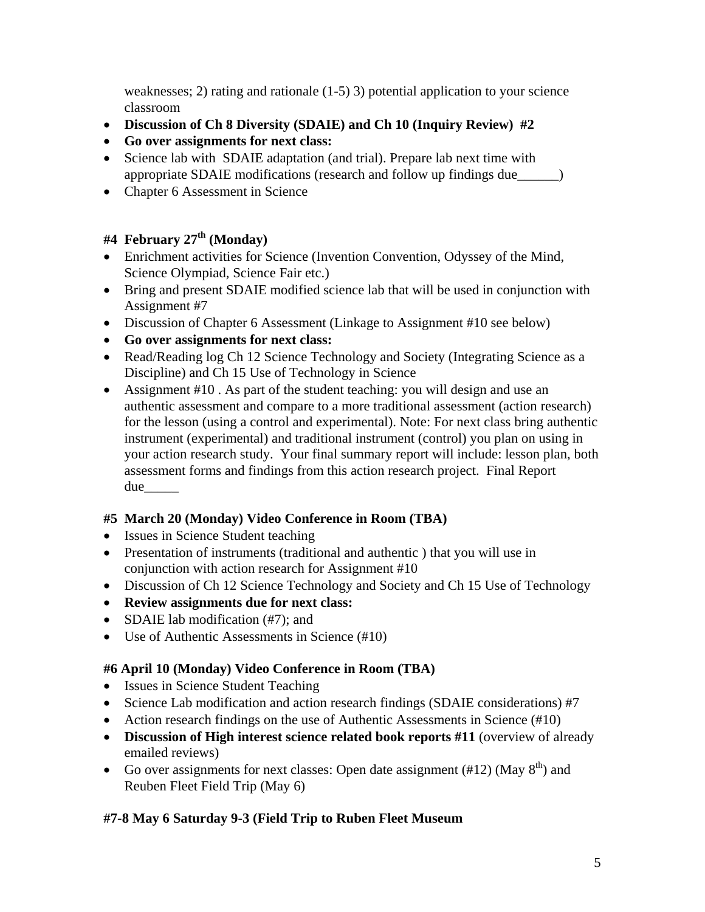weaknesses; 2) rating and rationale (1-5) 3) potential application to your science classroom

- **Discussion of Ch 8 Diversity (SDAIE) and Ch 10 (Inquiry Review) #2**
- **Go over assignments for next class:**
- Science lab with SDAIE adaptation (and trial). Prepare lab next time with appropriate SDAIE modifications (research and follow up findings due\_\_\_\_\_\_)
- Chapter 6 Assessment in Science

# **#4 February 27th (Monday)**

- Enrichment activities for Science (Invention Convention, Odyssey of the Mind, Science Olympiad, Science Fair etc.)
- Bring and present SDAIE modified science lab that will be used in conjunction with Assignment #7
- Discussion of Chapter 6 Assessment (Linkage to Assignment #10 see below)
- **Go over assignments for next class:**
- Read/Reading log Ch 12 Science Technology and Society (Integrating Science as a Discipline) and Ch 15 Use of Technology in Science
- Assignment #10. As part of the student teaching: you will design and use an authentic assessment and compare to a more traditional assessment (action research) for the lesson (using a control and experimental). Note: For next class bring authentic instrument (experimental) and traditional instrument (control) you plan on using in your action research study. Your final summary report will include: lesson plan, both assessment forms and findings from this action research project. Final Report due\_\_\_\_\_

# **#5 March 20 (Monday) Video Conference in Room (TBA)**

- Issues in Science Student teaching
- Presentation of instruments (traditional and authentic) that you will use in conjunction with action research for Assignment #10
- Discussion of Ch 12 Science Technology and Society and Ch 15 Use of Technology
- **Review assignments due for next class:**
- SDAIE lab modification (#7); and
- Use of Authentic Assessments in Science (#10)

# **#6 April 10 (Monday) Video Conference in Room (TBA)**

- Issues in Science Student Teaching
- Science Lab modification and action research findings (SDAIE considerations) #7
- Action research findings on the use of Authentic Assessments in Science  $(\#10)$
- **Discussion of High interest science related book reports #11** (overview of already emailed reviews)
- Go over assignments for next classes: Open date assignment  $(\text{\#12})$  (May  $8^{\text{th}}$ ) and Reuben Fleet Field Trip (May 6)

# **#7-8 May 6 Saturday 9-3 (Field Trip to Ruben Fleet Museum**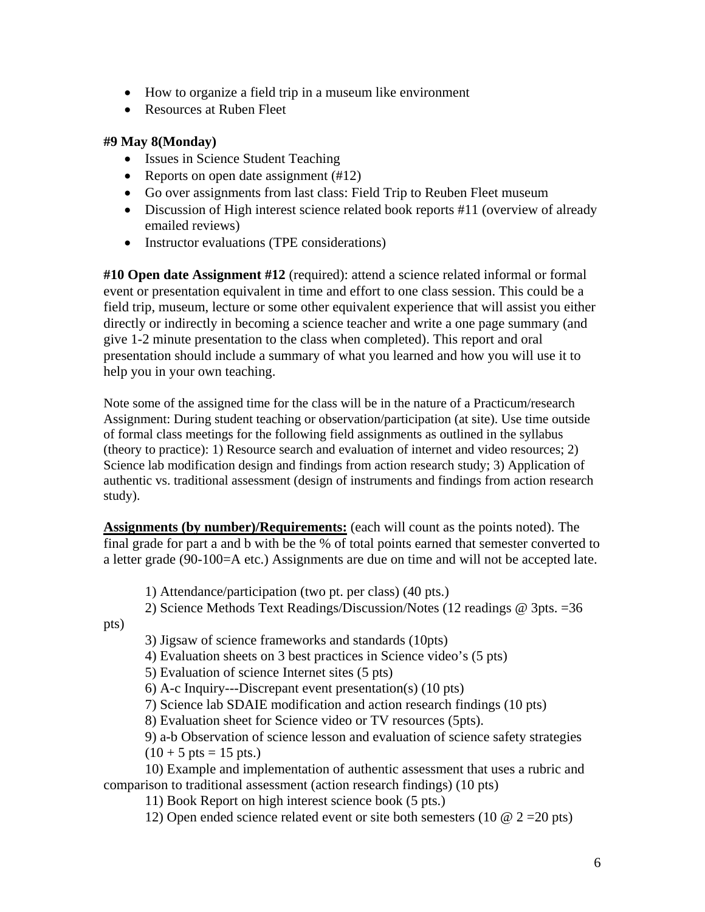- How to organize a field trip in a museum like environment
- Resources at Ruben Fleet

#### **#9 May 8(Monday)**

- Issues in Science Student Teaching
- Reports on open date assignment (#12)
- Go over assignments from last class: Field Trip to Reuben Fleet museum
- Discussion of High interest science related book reports #11 (overview of already emailed reviews)
- Instructor evaluations (TPE considerations)

**#10 Open date Assignment #12** (required): attend a science related informal or formal event or presentation equivalent in time and effort to one class session. This could be a field trip, museum, lecture or some other equivalent experience that will assist you either directly or indirectly in becoming a science teacher and write a one page summary (and give 1-2 minute presentation to the class when completed). This report and oral presentation should include a summary of what you learned and how you will use it to help you in your own teaching.

Note some of the assigned time for the class will be in the nature of a Practicum/research Assignment: During student teaching or observation/participation (at site). Use time outside of formal class meetings for the following field assignments as outlined in the syllabus (theory to practice): 1) Resource search and evaluation of internet and video resources; 2) Science lab modification design and findings from action research study; 3) Application of authentic vs. traditional assessment (design of instruments and findings from action research study).

**Assignments (by number)/Requirements:** (each will count as the points noted). The final grade for part a and b with be the % of total points earned that semester converted to a letter grade (90-100=A etc.) Assignments are due on time and will not be accepted late.

1) Attendance/participation (two pt. per class) (40 pts.)

2) Science Methods Text Readings/Discussion/Notes (12 readings @ 3pts. =36

pts)

3) Jigsaw of science frameworks and standards (10pts)

4) Evaluation sheets on 3 best practices in Science video's (5 pts)

5) Evaluation of science Internet sites (5 pts)

6) A-c Inquiry---Discrepant event presentation(s) (10 pts)

7) Science lab SDAIE modification and action research findings (10 pts)

8) Evaluation sheet for Science video or TV resources (5pts).

9) a-b Observation of science lesson and evaluation of science safety strategies  $(10 + 5 \text{ pts} = 15 \text{ pts.})$ 

 10) Example and implementation of authentic assessment that uses a rubric and comparison to traditional assessment (action research findings) (10 pts)

11) Book Report on high interest science book (5 pts.)

12) Open ended science related event or site both semesters (10  $\omega$  2 = 20 pts)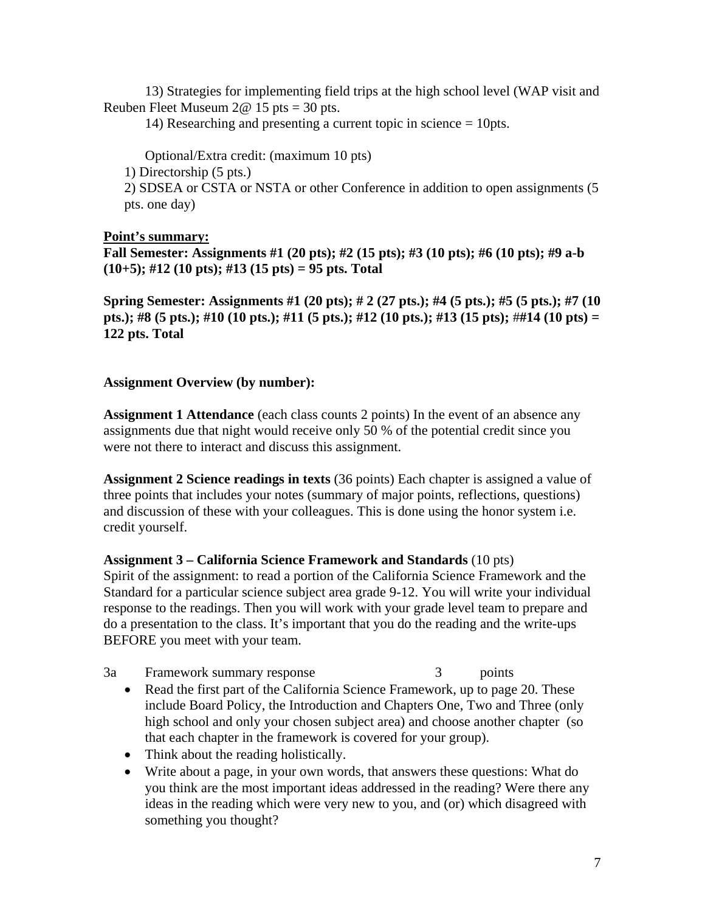13) Strategies for implementing field trips at the high school level (WAP visit and Reuben Fleet Museum  $2@ 15$  pts = 30 pts.

14) Researching and presenting a current topic in science = 10pts.

Optional/Extra credit: (maximum 10 pts)

1) Directorship (5 pts.)

2) SDSEA or CSTA or NSTA or other Conference in addition to open assignments (5 pts. one day)

## **Point's summary:**

**Fall Semester: Assignments #1 (20 pts); #2 (15 pts); #3 (10 pts); #6 (10 pts); #9 a-b (10+5); #12 (10 pts); #13 (15 pts) = 95 pts. Total** 

**Spring Semester: Assignments #1 (20 pts); # 2 (27 pts.); #4 (5 pts.); #5 (5 pts.); #7 (10 pts.); #8 (5 pts.); #10 (10 pts.); #11 (5 pts.); #12 (10 pts.); #13 (15 pts);** #**#14 (10 pts) = 122 pts. Total** 

#### **Assignment Overview (by number):**

**Assignment 1 Attendance** (each class counts 2 points) In the event of an absence any assignments due that night would receive only 50 % of the potential credit since you were not there to interact and discuss this assignment.

**Assignment 2 Science readings in texts** (36 points) Each chapter is assigned a value of three points that includes your notes (summary of major points, reflections, questions) and discussion of these with your colleagues. This is done using the honor system i.e. credit yourself.

## **Assignment 3 – California Science Framework and Standards** (10 pts)

Spirit of the assignment: to read a portion of the California Science Framework and the Standard for a particular science subject area grade 9-12. You will write your individual response to the readings. Then you will work with your grade level team to prepare and do a presentation to the class. It's important that you do the reading and the write-ups BEFORE you meet with your team.

- 3a Framework summary response 3 points
	- Read the first part of the California Science Framework, up to page 20. These include Board Policy, the Introduction and Chapters One, Two and Three (only high school and only your chosen subject area) and choose another chapter (so that each chapter in the framework is covered for your group).
	- Think about the reading holistically.
	- Write about a page, in your own words, that answers these questions: What do you think are the most important ideas addressed in the reading? Were there any ideas in the reading which were very new to you, and (or) which disagreed with something you thought?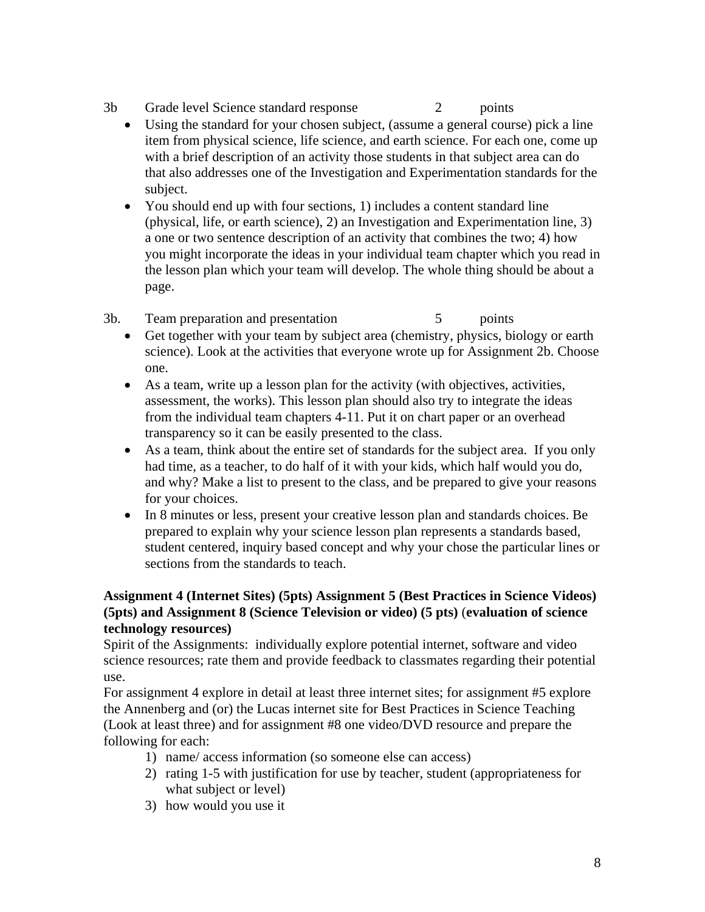- 3b Grade level Science standard response 2 points
	- Using the standard for your chosen subject, (assume a general course) pick a line item from physical science, life science, and earth science. For each one, come up with a brief description of an activity those students in that subject area can do that also addresses one of the Investigation and Experimentation standards for the subject.
	- You should end up with four sections, 1) includes a content standard line (physical, life, or earth science), 2) an Investigation and Experimentation line, 3) a one or two sentence description of an activity that combines the two; 4) how you might incorporate the ideas in your individual team chapter which you read in the lesson plan which your team will develop. The whole thing should be about a page.
- 3b. Team preparation and presentation 5 points
	- Get together with your team by subject area (chemistry, physics, biology or earth science). Look at the activities that everyone wrote up for Assignment 2b. Choose one.
	- As a team, write up a lesson plan for the activity (with objectives, activities, assessment, the works). This lesson plan should also try to integrate the ideas from the individual team chapters 4-11. Put it on chart paper or an overhead transparency so it can be easily presented to the class.
	- As a team, think about the entire set of standards for the subject area. If you only had time, as a teacher, to do half of it with your kids, which half would you do, and why? Make a list to present to the class, and be prepared to give your reasons for your choices.
	- In 8 minutes or less, present your creative lesson plan and standards choices. Be prepared to explain why your science lesson plan represents a standards based, student centered, inquiry based concept and why your chose the particular lines or sections from the standards to teach.

# **Assignment 4 (Internet Sites) (5pts) Assignment 5 (Best Practices in Science Videos) (5pts) and Assignment 8 (Science Television or video) (5 pts)** (**evaluation of science technology resources)**

Spirit of the Assignments: individually explore potential internet, software and video science resources; rate them and provide feedback to classmates regarding their potential use.

For assignment 4 explore in detail at least three internet sites; for assignment #5 explore the Annenberg and (or) the Lucas internet site for Best Practices in Science Teaching (Look at least three) and for assignment #8 one video/DVD resource and prepare the following for each:

- 1) name/ access information (so someone else can access)
- 2) rating 1-5 with justification for use by teacher, student (appropriateness for what subject or level)
- 3) how would you use it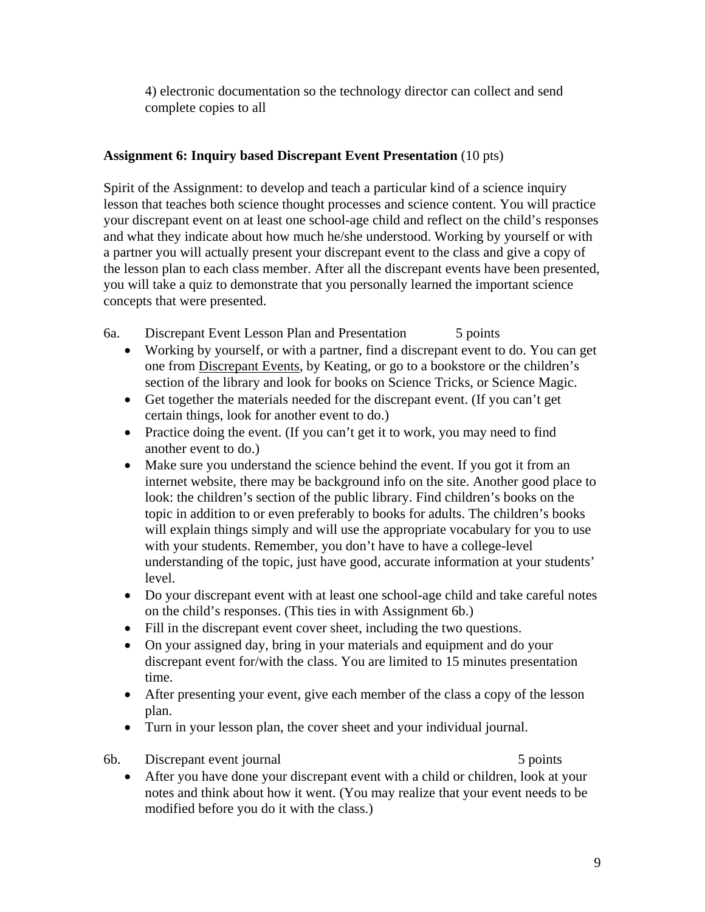4) electronic documentation so the technology director can collect and send complete copies to all

# **Assignment 6: Inquiry based Discrepant Event Presentation** (10 pts)

Spirit of the Assignment: to develop and teach a particular kind of a science inquiry lesson that teaches both science thought processes and science content. You will practice your discrepant event on at least one school-age child and reflect on the child's responses and what they indicate about how much he/she understood. Working by yourself or with a partner you will actually present your discrepant event to the class and give a copy of the lesson plan to each class member. After all the discrepant events have been presented, you will take a quiz to demonstrate that you personally learned the important science concepts that were presented.

- 6a. Discrepant Event Lesson Plan and Presentation 5 points
	- Working by yourself, or with a partner, find a discrepant event to do. You can get one from Discrepant Events, by Keating, or go to a bookstore or the children's section of the library and look for books on Science Tricks, or Science Magic.
	- Get together the materials needed for the discrepant event. (If you can't get certain things, look for another event to do.)
	- Practice doing the event. (If you can't get it to work, you may need to find another event to do.)
	- Make sure you understand the science behind the event. If you got it from an internet website, there may be background info on the site. Another good place to look: the children's section of the public library. Find children's books on the topic in addition to or even preferably to books for adults. The children's books will explain things simply and will use the appropriate vocabulary for you to use with your students. Remember, you don't have to have a college-level understanding of the topic, just have good, accurate information at your students' level.
	- Do your discrepant event with at least one school-age child and take careful notes on the child's responses. (This ties in with Assignment 6b.)
	- Fill in the discrepant event cover sheet, including the two questions.
	- On your assigned day, bring in your materials and equipment and do your discrepant event for/with the class. You are limited to 15 minutes presentation time.
	- After presenting your event, give each member of the class a copy of the lesson plan.
	- Turn in your lesson plan, the cover sheet and your individual journal.
- 6b. Discrepant event journal 5 points 5 points

• After you have done your discrepant event with a child or children, look at your notes and think about how it went. (You may realize that your event needs to be modified before you do it with the class.)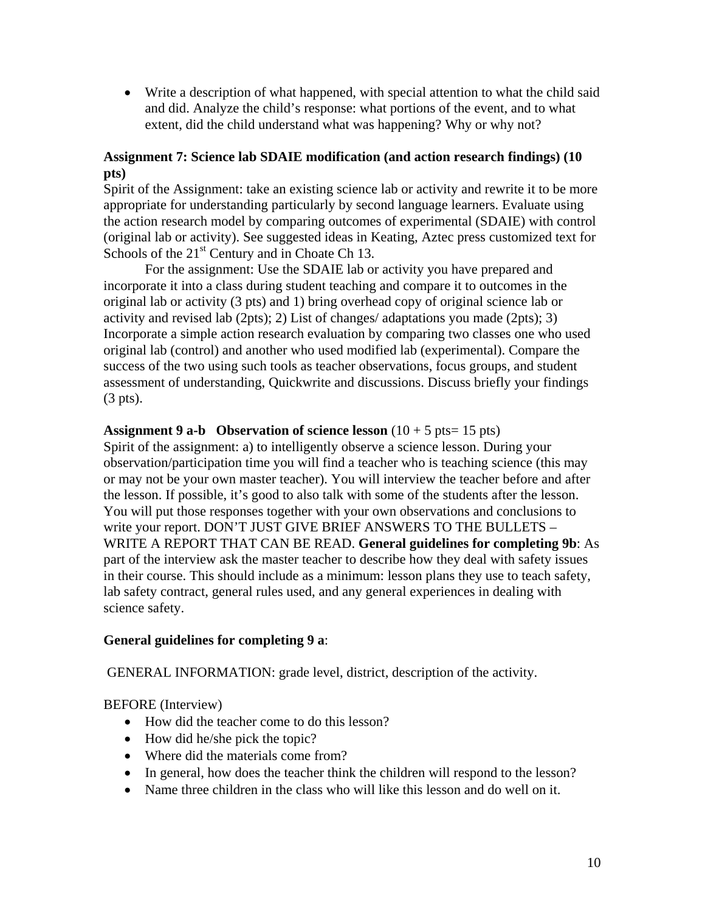• Write a description of what happened, with special attention to what the child said and did. Analyze the child's response: what portions of the event, and to what extent, did the child understand what was happening? Why or why not?

# **Assignment 7: Science lab SDAIE modification (and action research findings) (10 pts)**

Spirit of the Assignment: take an existing science lab or activity and rewrite it to be more appropriate for understanding particularly by second language learners. Evaluate using the action research model by comparing outcomes of experimental (SDAIE) with control (original lab or activity). See suggested ideas in Keating, Aztec press customized text for Schools of the  $21<sup>st</sup>$  Century and in Choate Ch 13.

For the assignment: Use the SDAIE lab or activity you have prepared and incorporate it into a class during student teaching and compare it to outcomes in the original lab or activity (3 pts) and 1) bring overhead copy of original science lab or activity and revised lab (2pts); 2) List of changes/ adaptations you made (2pts); 3) Incorporate a simple action research evaluation by comparing two classes one who used original lab (control) and another who used modified lab (experimental). Compare the success of the two using such tools as teacher observations, focus groups, and student assessment of understanding, Quickwrite and discussions. Discuss briefly your findings (3 pts).

#### **Assignment 9 a-b** Observation of science lesson  $(10 + 5 \text{ pts} = 15 \text{ pts})$

Spirit of the assignment: a) to intelligently observe a science lesson. During your observation/participation time you will find a teacher who is teaching science (this may or may not be your own master teacher). You will interview the teacher before and after the lesson. If possible, it's good to also talk with some of the students after the lesson. You will put those responses together with your own observations and conclusions to write your report. DON'T JUST GIVE BRIEF ANSWERS TO THE BULLETS – WRITE A REPORT THAT CAN BE READ. **General guidelines for completing 9b**: As part of the interview ask the master teacher to describe how they deal with safety issues in their course. This should include as a minimum: lesson plans they use to teach safety, lab safety contract, general rules used, and any general experiences in dealing with science safety.

## **General guidelines for completing 9 a**:

GENERAL INFORMATION: grade level, district, description of the activity.

BEFORE (Interview)

- How did the teacher come to do this lesson?
- How did he/she pick the topic?
- Where did the materials come from?
- In general, how does the teacher think the children will respond to the lesson?
- Name three children in the class who will like this lesson and do well on it.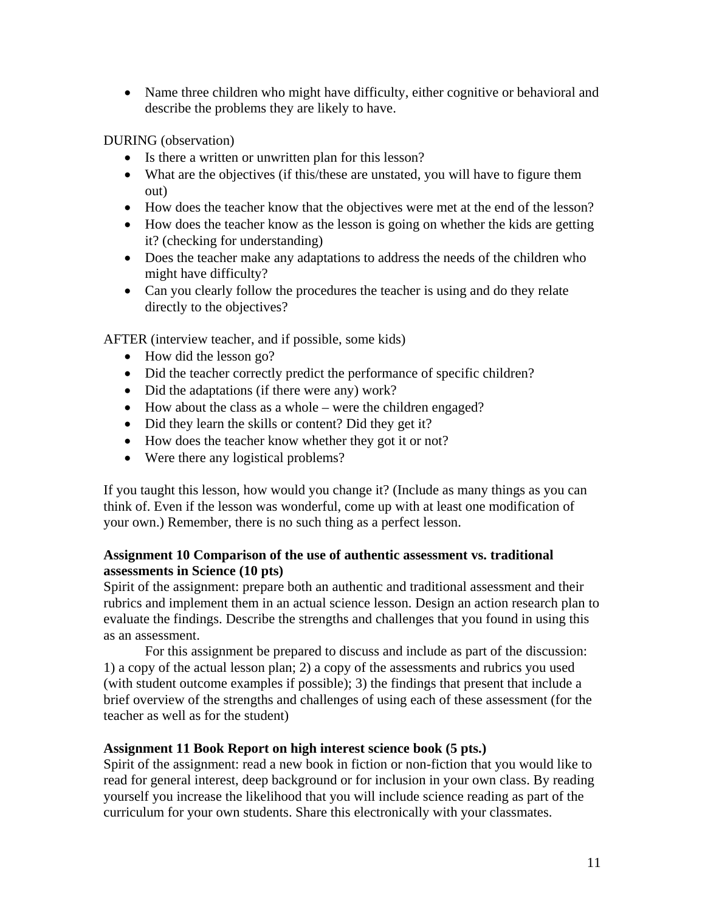• Name three children who might have difficulty, either cognitive or behavioral and describe the problems they are likely to have.

DURING (observation)

- Is there a written or unwritten plan for this lesson?
- What are the objectives (if this/these are unstated, you will have to figure them out)
- How does the teacher know that the objectives were met at the end of the lesson?
- How does the teacher know as the lesson is going on whether the kids are getting it? (checking for understanding)
- Does the teacher make any adaptations to address the needs of the children who might have difficulty?
- Can you clearly follow the procedures the teacher is using and do they relate directly to the objectives?

AFTER (interview teacher, and if possible, some kids)

- How did the lesson go?
- Did the teacher correctly predict the performance of specific children?
- Did the adaptations (if there were any) work?
- How about the class as a whole were the children engaged?
- Did they learn the skills or content? Did they get it?
- How does the teacher know whether they got it or not?
- Were there any logistical problems?

If you taught this lesson, how would you change it? (Include as many things as you can think of. Even if the lesson was wonderful, come up with at least one modification of your own.) Remember, there is no such thing as a perfect lesson.

#### **Assignment 10 Comparison of the use of authentic assessment vs. traditional assessments in Science (10 pts)**

Spirit of the assignment: prepare both an authentic and traditional assessment and their rubrics and implement them in an actual science lesson. Design an action research plan to evaluate the findings. Describe the strengths and challenges that you found in using this as an assessment.

For this assignment be prepared to discuss and include as part of the discussion: 1) a copy of the actual lesson plan; 2) a copy of the assessments and rubrics you used (with student outcome examples if possible); 3) the findings that present that include a brief overview of the strengths and challenges of using each of these assessment (for the teacher as well as for the student)

#### **Assignment 11 Book Report on high interest science book (5 pts.)**

Spirit of the assignment: read a new book in fiction or non-fiction that you would like to read for general interest, deep background or for inclusion in your own class. By reading yourself you increase the likelihood that you will include science reading as part of the curriculum for your own students. Share this electronically with your classmates.